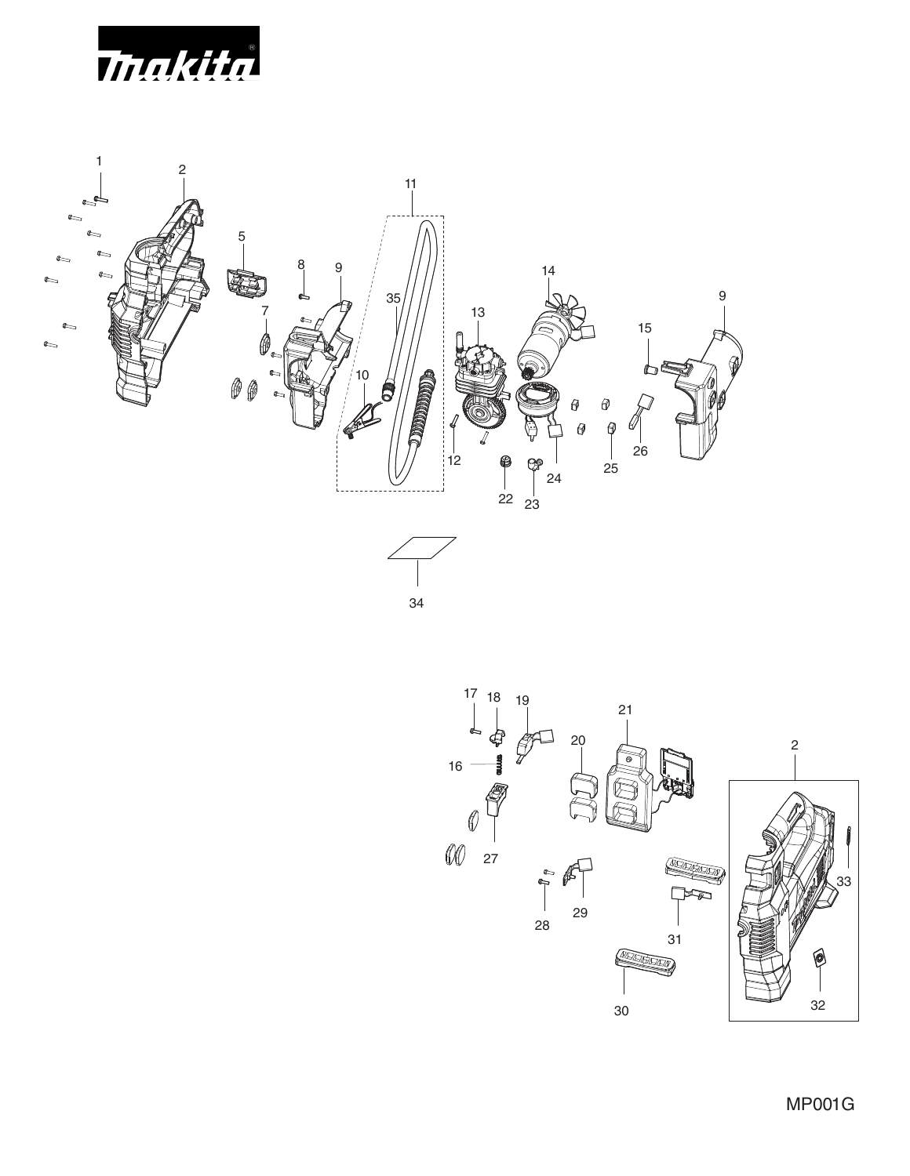